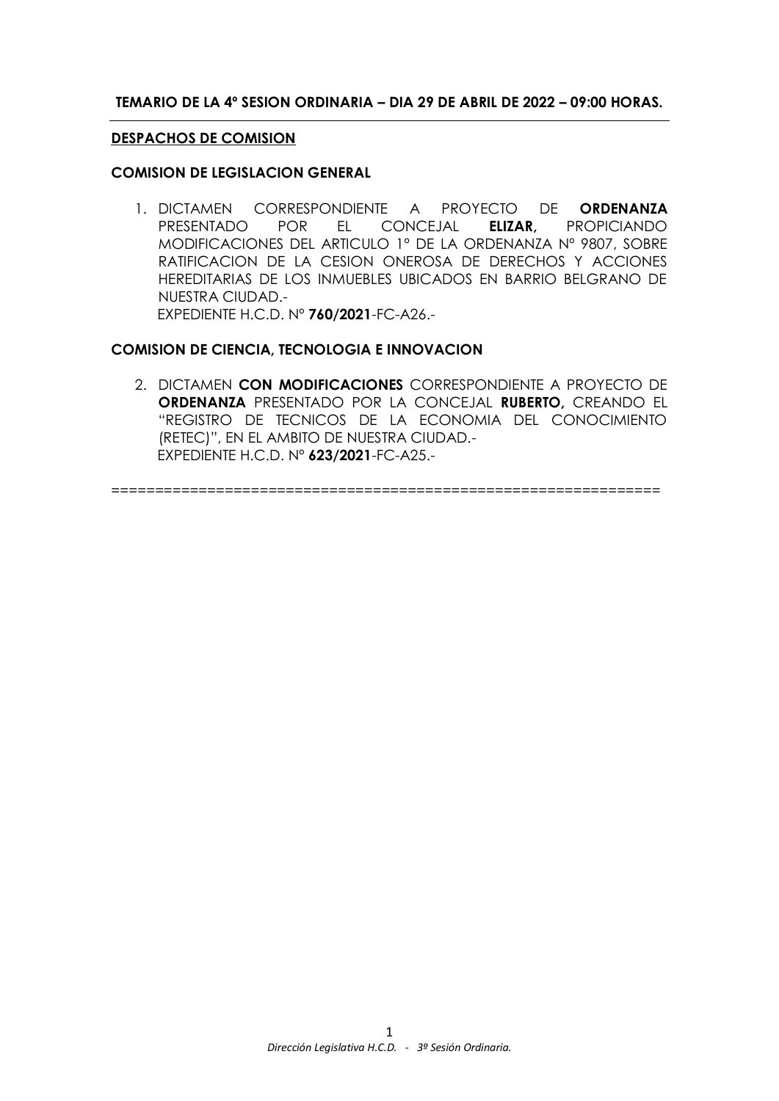## **TEMARIO DE LA 4º SESION ORDINARIA – DIA 29 DE ABRIL DE 2022 – 09:00 HORAS.**

### **DESPACHOS DE COMISION**

### **COMISION DE LEGISLACION GENERAL**

1. DICTAMEN CORRESPONDIENTE A PROYECTO DE **ORDENANZA** PRESENTADO POR EL CONCEJAL **ELIZAR,** PROPICIANDO MODIFICACIONES DEL ARTICULO 1º DE LA ORDENANZA Nº 9807, SOBRE RATIFICACION DE LA CESION ONEROSA DE DERECHOS Y ACCIONES HEREDITARIAS DE LOS INMUEBLES UBICADOS EN BARRIO BELGRANO DE NUESTRA CIUDAD.- EXPEDIENTE H.C.D. Nº **760/2021**-FC-A26.-

### **COMISION DE CIENCIA, TECNOLOGIA E INNOVACION**

2. DICTAMEN **CON MODIFICACIONES** CORRESPONDIENTE A PROYECTO DE **ORDENANZA** PRESENTADO POR LA CONCEJAL **RUBERTO,** CREANDO EL "REGISTRO DE TECNICOS DE LA ECONOMIA DEL CONOCIMIENTO (RETEC)", EN EL AMBITO DE NUESTRA CIUDAD.- EXPEDIENTE H.C.D. Nº **623/2021**-FC-A25.-

===============================================================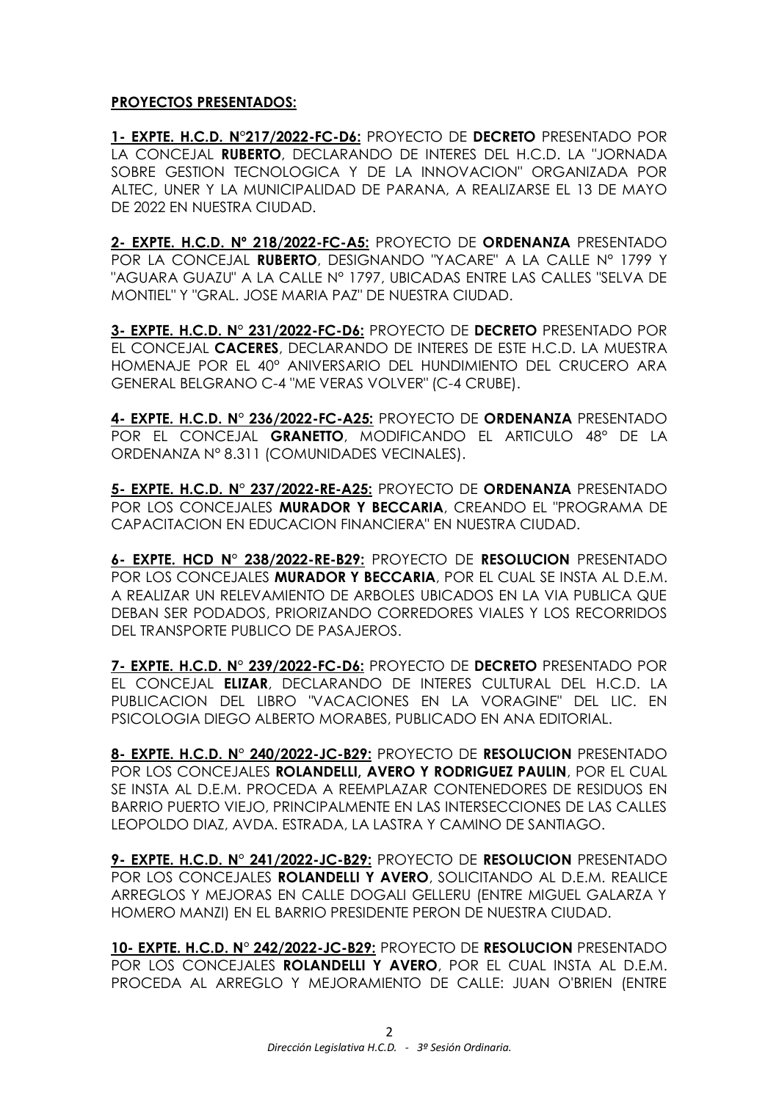## **PROYECTOS PRESENTADOS:**

**1- EXPTE. H.C.D. N°217/2022-FC-D6:** PROYECTO DE **DECRETO** PRESENTADO POR LA CONCEJAL **RUBERTO**, DECLARANDO DE INTERES DEL H.C.D. LA "JORNADA SOBRE GESTION TECNOLOGICA Y DE LA INNOVACION" ORGANIZADA POR ALTEC, UNER Y LA MUNICIPALIDAD DE PARANA, A REALIZARSE EL 13 DE MAYO DE 2022 EN NUESTRA CIUDAD.

**2- EXPTE. H.C.D. Nº 218/2022-FC-A5:** PROYECTO DE **ORDENANZA** PRESENTADO POR LA CONCEJAL **RUBERTO**, DESIGNANDO "YACARE" A LA CALLE N° 1799 Y "AGUARA GUAZU" A LA CALLE N° 1797, UBICADAS ENTRE LAS CALLES "SELVA DE MONTIEL" Y "GRAL. JOSE MARIA PAZ" DE NUESTRA CIUDAD.

**3- EXPTE. H.C.D. N° 231/2022-FC-D6:** PROYECTO DE **DECRETO** PRESENTADO POR EL CONCEJAL **CACERES**, DECLARANDO DE INTERES DE ESTE H.C.D. LA MUESTRA HOMENAJE POR EL 40° ANIVERSARIO DEL HUNDIMIENTO DEL CRUCERO ARA GENERAL BELGRANO C-4 "ME VERAS VOLVER" (C-4 CRUBE).

**4- EXPTE. H.C.D. N° 236/2022-FC-A25:** PROYECTO DE **ORDENANZA** PRESENTADO POR EL CONCEJAL **GRANETTO**, MODIFICANDO EL ARTICULO 48° DE LA ORDENANZA N° 8.311 (COMUNIDADES VECINALES).

**5- EXPTE. H.C.D. N° 237/2022-RE-A25:** PROYECTO DE **ORDENANZA** PRESENTADO POR LOS CONCEJALES **MURADOR Y BECCARIA**, CREANDO EL "PROGRAMA DE CAPACITACION EN EDUCACION FINANCIERA" EN NUESTRA CIUDAD.

**6- EXPTE. HCD N° 238/2022-RE-B29:** PROYECTO DE **RESOLUCION** PRESENTADO POR LOS CONCEJALES **MURADOR Y BECCARIA**, POR EL CUAL SE INSTA AL D.E.M. A REALIZAR UN RELEVAMIENTO DE ARBOLES UBICADOS EN LA VIA PUBLICA QUE DEBAN SER PODADOS, PRIORIZANDO CORREDORES VIALES Y LOS RECORRIDOS DEL TRANSPORTE PUBLICO DE PASAJEROS.

**7- EXPTE. H.C.D. N° 239/2022-FC-D6:** PROYECTO DE **DECRETO** PRESENTADO POR EL CONCEJAL **ELIZAR**, DECLARANDO DE INTERES CULTURAL DEL H.C.D. LA PUBLICACION DEL LIBRO "VACACIONES EN LA VORAGINE" DEL LIC. EN PSICOLOGIA DIEGO ALBERTO MORABES, PUBLICADO EN ANA EDITORIAL.

**8- EXPTE. H.C.D. N° 240/2022-JC-B29:** PROYECTO DE **RESOLUCION** PRESENTADO POR LOS CONCEJALES **ROLANDELLI, AVERO Y RODRIGUEZ PAULIN**, POR EL CUAL SE INSTA AL D.E.M. PROCEDA A REEMPLAZAR CONTENEDORES DE RESIDUOS EN BARRIO PUERTO VIEJO, PRINCIPALMENTE EN LAS INTERSECCIONES DE LAS CALLES LEOPOLDO DIAZ, AVDA. ESTRADA, LA LASTRA Y CAMINO DE SANTIAGO.

**9- EXPTE. H.C.D. N° 241/2022-JC-B29:** PROYECTO DE **RESOLUCION** PRESENTADO POR LOS CONCEJALES **ROLANDELLI Y AVERO**, SOLICITANDO AL D.E.M. REALICE ARREGLOS Y MEJORAS EN CALLE DOGALI GELLERU (ENTRE MIGUEL GALARZA Y HOMERO MANZI) EN EL BARRIO PRESIDENTE PERON DE NUESTRA CIUDAD.

**10- EXPTE. H.C.D. N° 242/2022-JC-B29:** PROYECTO DE **RESOLUCION** PRESENTADO POR LOS CONCEJALES **ROLANDELLI Y AVERO**, POR EL CUAL INSTA AL D.E.M. PROCEDA AL ARREGLO Y MEJORAMIENTO DE CALLE: JUAN O'BRIEN (ENTRE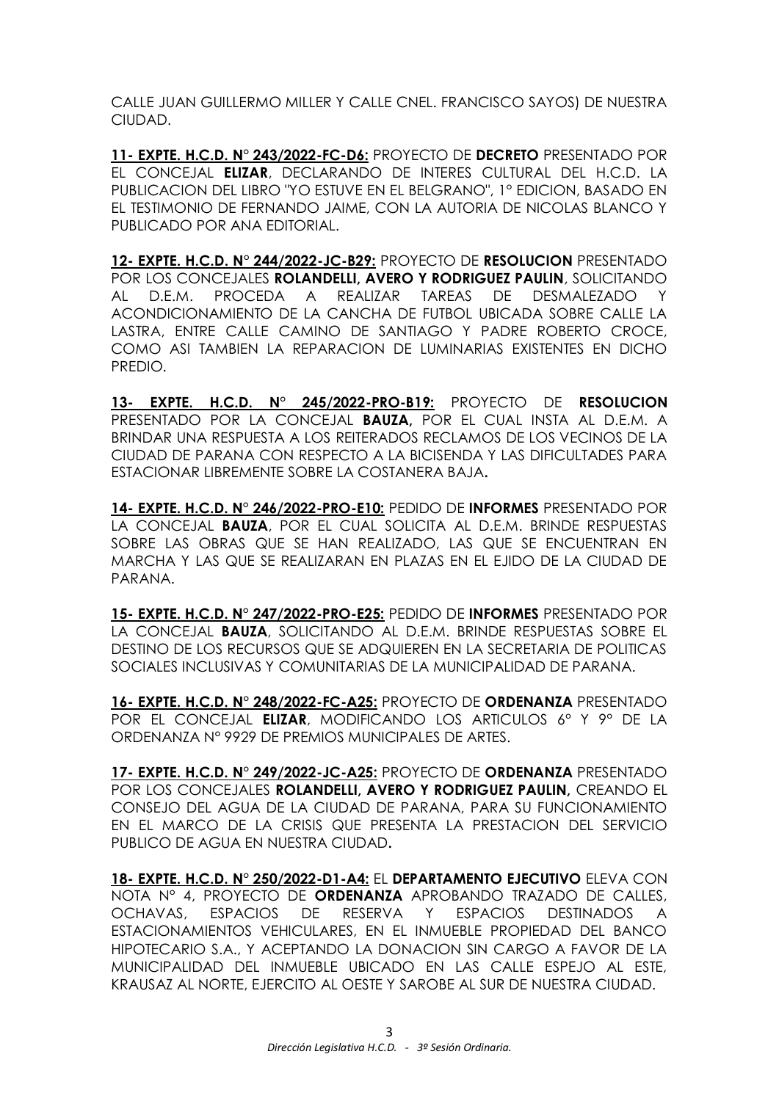CALLE JUAN GUILLERMO MILLER Y CALLE CNEL. FRANCISCO SAYOS) DE NUESTRA CIUDAD.

**11- EXPTE. H.C.D. N° 243/2022-FC-D6:** PROYECTO DE **DECRETO** PRESENTADO POR EL CONCEJAL **ELIZAR**, DECLARANDO DE INTERES CULTURAL DEL H.C.D. LA PUBLICACION DEL LIBRO "YO ESTUVE EN EL BELGRANO", 1° EDICION, BASADO EN EL TESTIMONIO DE FERNANDO JAIME, CON LA AUTORIA DE NICOLAS BLANCO Y PUBLICADO POR ANA EDITORIAL.

**12- EXPTE. H.C.D. N° 244/2022-JC-B29:** PROYECTO DE **RESOLUCION** PRESENTADO POR LOS CONCEJALES **ROLANDELLI, AVERO Y RODRIGUEZ PAULIN**, SOLICITANDO AL D.E.M. PROCEDA A REALIZAR TAREAS DE DESMALEZADO Y ACONDICIONAMIENTO DE LA CANCHA DE FUTBOL UBICADA SOBRE CALLE LA LASTRA, ENTRE CALLE CAMINO DE SANTIAGO Y PADRE ROBERTO CROCE, COMO ASI TAMBIEN LA REPARACION DE LUMINARIAS EXISTENTES EN DICHO PREDIO.

**13- EXPTE. H.C.D. N° 245/2022-PRO-B19:** PROYECTO DE **RESOLUCION** PRESENTADO POR LA CONCEJAL **BAUZA,** POR EL CUAL INSTA AL D.E.M. A BRINDAR UNA RESPUESTA A LOS REITERADOS RECLAMOS DE LOS VECINOS DE LA CIUDAD DE PARANA CON RESPECTO A LA BICISENDA Y LAS DIFICULTADES PARA ESTACIONAR LIBREMENTE SOBRE LA COSTANERA BAJA**.**

**14- EXPTE. H.C.D. N° 246/2022-PRO-E10:** PEDIDO DE **INFORMES** PRESENTADO POR LA CONCEJAL **BAUZA**, POR EL CUAL SOLICITA AL D.E.M. BRINDE RESPUESTAS SOBRE LAS OBRAS QUE SE HAN REALIZADO, LAS QUE SE ENCUENTRAN EN MARCHA Y LAS QUE SE REALIZARAN EN PLAZAS EN EL EJIDO DE LA CIUDAD DE PARANA.

**15- EXPTE. H.C.D. N° 247/2022-PRO-E25:** PEDIDO DE **INFORMES** PRESENTADO POR LA CONCEJAL **BAUZA**, SOLICITANDO AL D.E.M. BRINDE RESPUESTAS SOBRE EL DESTINO DE LOS RECURSOS QUE SE ADQUIEREN EN LA SECRETARIA DE POLITICAS SOCIALES INCLUSIVAS Y COMUNITARIAS DE LA MUNICIPALIDAD DE PARANA.

**16- EXPTE. H.C.D. N° 248/2022-FC-A25:** PROYECTO DE **ORDENANZA** PRESENTADO POR EL CONCEJAL **ELIZAR**, MODIFICANDO LOS ARTICULOS 6° Y 9° DE LA ORDENANZA N° 9929 DE PREMIOS MUNICIPALES DE ARTES.

**17- EXPTE. H.C.D. N° 249/2022-JC-A25:** PROYECTO DE **ORDENANZA** PRESENTADO POR LOS CONCEJALES **ROLANDELLI, AVERO Y RODRIGUEZ PAULIN,** CREANDO EL CONSEJO DEL AGUA DE LA CIUDAD DE PARANA, PARA SU FUNCIONAMIENTO EN EL MARCO DE LA CRISIS QUE PRESENTA LA PRESTACION DEL SERVICIO PUBLICO DE AGUA EN NUESTRA CIUDAD**.**

**18- EXPTE. H.C.D. N° 250/2022-D1-A4:** EL **DEPARTAMENTO EJECUTIVO** ELEVA CON NOTA N° 4, PROYECTO DE **ORDENANZA** APROBANDO TRAZADO DE CALLES, OCHAVAS, ESPACIOS DE RESERVA Y ESPACIOS DESTINADOS A ESTACIONAMIENTOS VEHICULARES, EN EL INMUEBLE PROPIEDAD DEL BANCO HIPOTECARIO S.A., Y ACEPTANDO LA DONACION SIN CARGO A FAVOR DE LA MUNICIPALIDAD DEL INMUEBLE UBICADO EN LAS CALLE ESPEJO AL ESTE, KRAUSAZ AL NORTE, EJERCITO AL OESTE Y SAROBE AL SUR DE NUESTRA CIUDAD.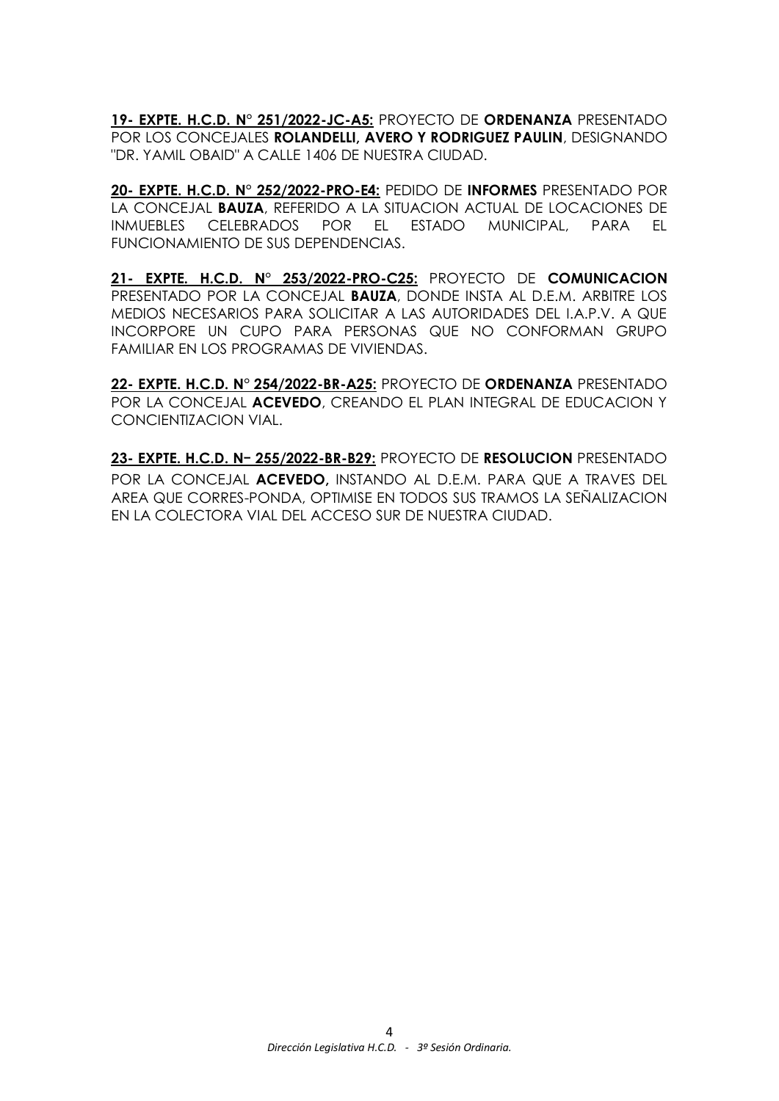**19- EXPTE. H.C.D. N° 251/2022-JC-A5:** PROYECTO DE **ORDENANZA** PRESENTADO POR LOS CONCEJALES **ROLANDELLI, AVERO Y RODRIGUEZ PAULIN**, DESIGNANDO "DR. YAMIL OBAID" A CALLE 1406 DE NUESTRA CIUDAD.

**20- EXPTE. H.C.D. N° 252/2022-PRO-E4:** PEDIDO DE **INFORMES** PRESENTADO POR LA CONCEJAL **BAUZA**, REFERIDO A LA SITUACION ACTUAL DE LOCACIONES DE INMUEBLES CELEBRADOS POR EL ESTADO MUNICIPAL, PARA EL FUNCIONAMIENTO DE SUS DEPENDENCIAS.

**21- EXPTE. H.C.D. N° 253/2022-PRO-C25:** PROYECTO DE **COMUNICACION** PRESENTADO POR LA CONCEJAL **BAUZA**, DONDE INSTA AL D.E.M. ARBITRE LOS MEDIOS NECESARIOS PARA SOLICITAR A LAS AUTORIDADES DEL I.A.P.V. A QUE INCORPORE UN CUPO PARA PERSONAS QUE NO CONFORMAN GRUPO FAMILIAR EN LOS PROGRAMAS DE VIVIENDAS.

**22- EXPTE. H.C.D. N° 254/2022-BR-A25:** PROYECTO DE **ORDENANZA** PRESENTADO POR LA CONCEJAL **ACEVEDO**, CREANDO EL PLAN INTEGRAL DE EDUCACION Y CONCIENTIZACION VIAL.

**23- EXPTE. H.C.D. Nー 255/2022-BR-B29:** PROYECTO DE **RESOLUCION** PRESENTADO POR LA CONCEJAL **ACEVEDO,** INSTANDO AL D.E.M. PARA QUE A TRAVES DEL AREA QUE CORRES-PONDA, OPTIMISE EN TODOS SUS TRAMOS LA SEÑALIZACION EN LA COLECTORA VIAL DEL ACCESO SUR DE NUESTRA CIUDAD.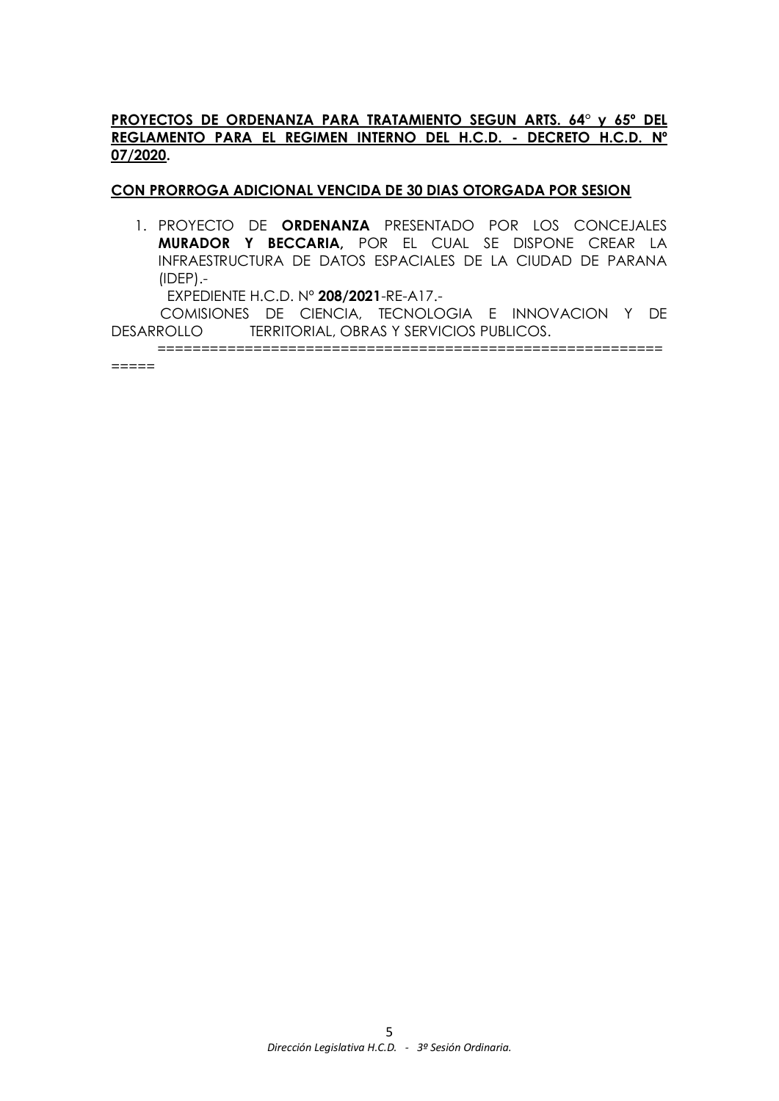# **PROYECTOS DE ORDENANZA PARA TRATAMIENTO SEGUN ARTS. 64° y 65º DEL REGLAMENTO PARA EL REGIMEN INTERNO DEL H.C.D. - DECRETO H.C.D. Nº 07/2020.**

## **CON PRORROGA ADICIONAL VENCIDA DE 30 DIAS OTORGADA POR SESION**

1. PROYECTO DE **ORDENANZA** PRESENTADO POR LOS CONCEJALES **MURADOR Y BECCARIA,** POR EL CUAL SE DISPONE CREAR LA INFRAESTRUCTURA DE DATOS ESPACIALES DE LA CIUDAD DE PARANA (IDEP).-

EXPEDIENTE H.C.D. Nº **208/2021**-RE-A17.-

COMISIONES DE CIENCIA, TECNOLOGIA E INNOVACION Y DE DESARROLLO TERRITORIAL, OBRAS Y SERVICIOS PUBLICOS.

==========================================================

=====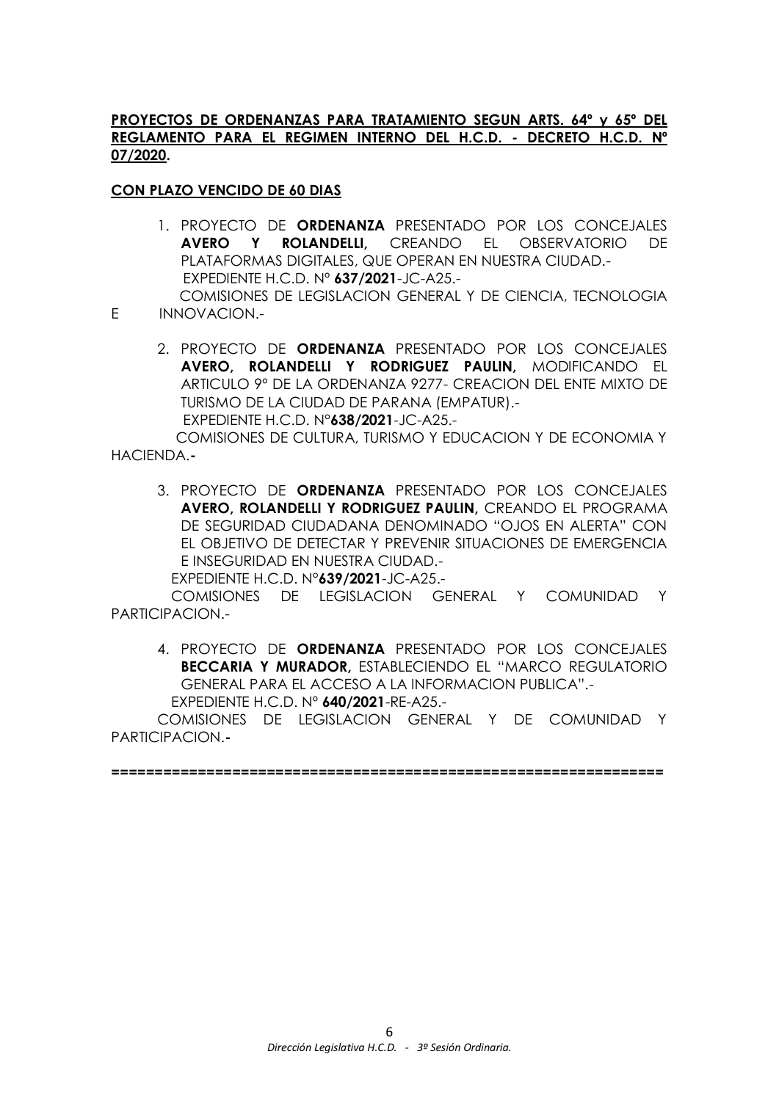## **PROYECTOS DE ORDENANZAS PARA TRATAMIENTO SEGUN ARTS. 64º y 65º DEL REGLAMENTO PARA EL REGIMEN INTERNO DEL H.C.D. - DECRETO H.C.D. Nº 07/2020.**

# **CON PLAZO VENCIDO DE 60 DIAS**

- 1. PROYECTO DE **ORDENANZA** PRESENTADO POR LOS CONCEJALES **AVERO Y ROLANDELLI,** CREANDO EL OBSERVATORIO DE PLATAFORMAS DIGITALES, QUE OPERAN EN NUESTRA CIUDAD.- EXPEDIENTE H.C.D. Nº **637/2021**-JC-A25.-
- COMISIONES DE LEGISLACION GENERAL Y DE CIENCIA, TECNOLOGIA E INNOVACION.-
	- 2. PROYECTO DE **ORDENANZA** PRESENTADO POR LOS CONCEJALES **AVERO, ROLANDELLI Y RODRIGUEZ PAULIN,** MODIFICANDO EL ARTICULO 9º DE LA ORDENANZA 9277- CREACION DEL ENTE MIXTO DE TURISMO DE LA CIUDAD DE PARANA (EMPATUR).- EXPEDIENTE H.C.D. N°**638/2021**-JC-A25.-

COMISIONES DE CULTURA, TURISMO Y EDUCACION Y DE ECONOMIA Y

HACIENDA.**-**

3. PROYECTO DE **ORDENANZA** PRESENTADO POR LOS CONCEJALES **AVERO, ROLANDELLI Y RODRIGUEZ PAULIN,** CREANDO EL PROGRAMA DE SEGURIDAD CIUDADANA DENOMINADO "OJOS EN ALERTA" CON EL OBJETIVO DE DETECTAR Y PREVENIR SITUACIONES DE EMERGENCIA E INSEGURIDAD EN NUESTRA CIUDAD.-

EXPEDIENTE H.C.D. N°**639/2021**-JC-A25.-

 COMISIONES DE LEGISLACION GENERAL Y COMUNIDAD Y PARTICIPACION.-

4. PROYECTO DE **ORDENANZA** PRESENTADO POR LOS CONCEJALES **BECCARIA Y MURADOR,** ESTABLECIENDO EL "MARCO REGULATORIO GENERAL PARA EL ACCESO A LA INFORMACION PUBLICA".- EXPEDIENTE H.C.D. Nº **640/2021**-RE-A25.-

COMISIONES DE LEGISLACION GENERAL Y DE COMUNIDAD Y PARTICIPACION.**-**

**================================================================**